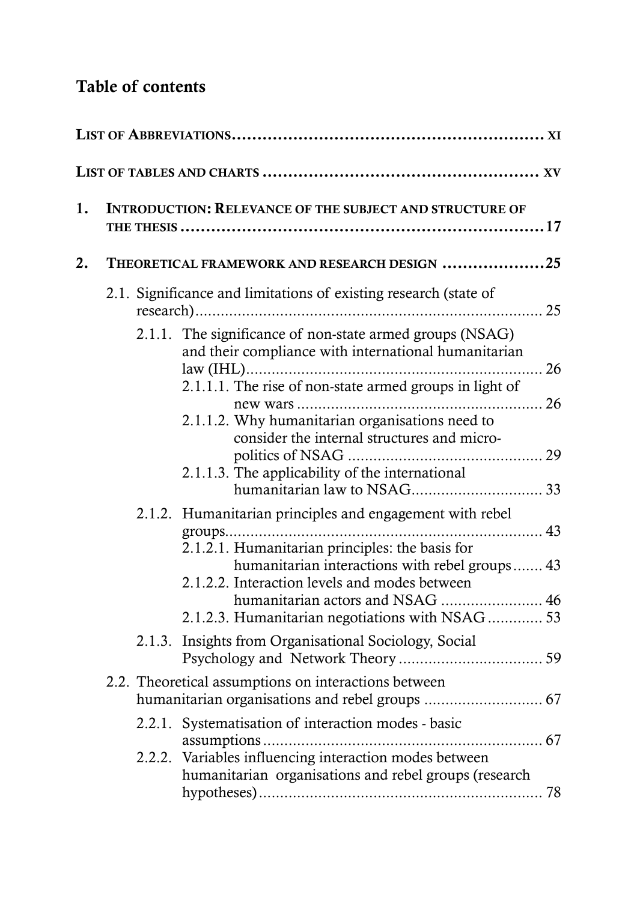## **Table of contents**

| 1. | <b>INTRODUCTION: RELEVANCE OF THE SUBJECT AND STRUCTURE OF</b> |                                                                                                                                                                                                                                                                                                                                                                                              |    |  |  |  |
|----|----------------------------------------------------------------|----------------------------------------------------------------------------------------------------------------------------------------------------------------------------------------------------------------------------------------------------------------------------------------------------------------------------------------------------------------------------------------------|----|--|--|--|
| 2. |                                                                | THEORETICAL FRAMEWORK AND RESEARCH DESIGN 25                                                                                                                                                                                                                                                                                                                                                 |    |  |  |  |
|    |                                                                | 2.1. Significance and limitations of existing research (state of                                                                                                                                                                                                                                                                                                                             |    |  |  |  |
|    |                                                                | 2.1.1. The significance of non-state armed groups (NSAG)<br>and their compliance with international humanitarian<br>2.1.1.1. The rise of non-state armed groups in light of<br>2.1.1.2. Why humanitarian organisations need to<br>consider the internal structures and micro-<br>2.1.1.3. The applicability of the international<br>2.1.2. Humanitarian principles and engagement with rebel |    |  |  |  |
|    |                                                                | 2.1.2.1. Humanitarian principles: the basis for<br>humanitarian interactions with rebel groups 43<br>2.1.2.2. Interaction levels and modes between<br>humanitarian actors and NSAG  46<br>2.1.2.3. Humanitarian negotiations with NSAG 53                                                                                                                                                    |    |  |  |  |
|    |                                                                | 2.1.3. Insights from Organisational Sociology, Social                                                                                                                                                                                                                                                                                                                                        |    |  |  |  |
|    |                                                                | 2.2. Theoretical assumptions on interactions between                                                                                                                                                                                                                                                                                                                                         |    |  |  |  |
|    |                                                                | 2.2.1. Systematisation of interaction modes - basic                                                                                                                                                                                                                                                                                                                                          |    |  |  |  |
|    |                                                                | 2.2.2. Variables influencing interaction modes between<br>humanitarian organisations and rebel groups (research                                                                                                                                                                                                                                                                              | 78 |  |  |  |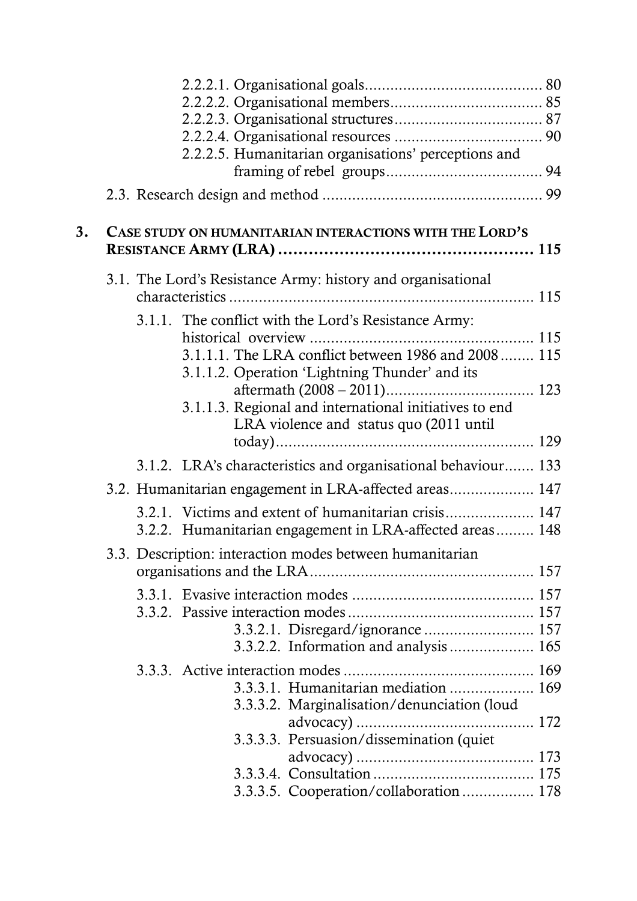|    |                                                         |  | 2.2.2.5. Humanitarian organisations' perceptions and                                                                            |  |  |  |  |
|----|---------------------------------------------------------|--|---------------------------------------------------------------------------------------------------------------------------------|--|--|--|--|
| 3. | CASE STUDY ON HUMANITARIAN INTERACTIONS WITH THE LORD'S |  |                                                                                                                                 |  |  |  |  |
|    |                                                         |  | 3.1. The Lord's Resistance Army: history and organisational<br>3.1.1. The conflict with the Lord's Resistance Army:             |  |  |  |  |
|    |                                                         |  | 3.1.1.1. The LRA conflict between 1986 and 2008 115<br>3.1.1.2. Operation 'Lightning Thunder' and its                           |  |  |  |  |
|    |                                                         |  | 3.1.1.3. Regional and international initiatives to end<br>LRA violence and status quo (2011 until                               |  |  |  |  |
|    |                                                         |  | 3.1.2. LRA's characteristics and organisational behaviour 133                                                                   |  |  |  |  |
|    |                                                         |  | 3.2. Humanitarian engagement in LRA-affected areas 147                                                                          |  |  |  |  |
|    |                                                         |  | 3.2.1. Victims and extent of humanitarian crisis 147<br>3.2.2. Humanitarian engagement in LRA-affected areas 148                |  |  |  |  |
|    |                                                         |  | 3.3. Description: interaction modes between humanitarian                                                                        |  |  |  |  |
|    |                                                         |  | 3.3.2.2. Information and analysis 165                                                                                           |  |  |  |  |
|    |                                                         |  | 3.3.3.1. Humanitarian mediation  169<br>3.3.3.2. Marginalisation/denunciation (loud<br>3.3.3.3. Persuasion/dissemination (quiet |  |  |  |  |
|    |                                                         |  | 3.3.3.5. Cooperation/collaboration  178                                                                                         |  |  |  |  |